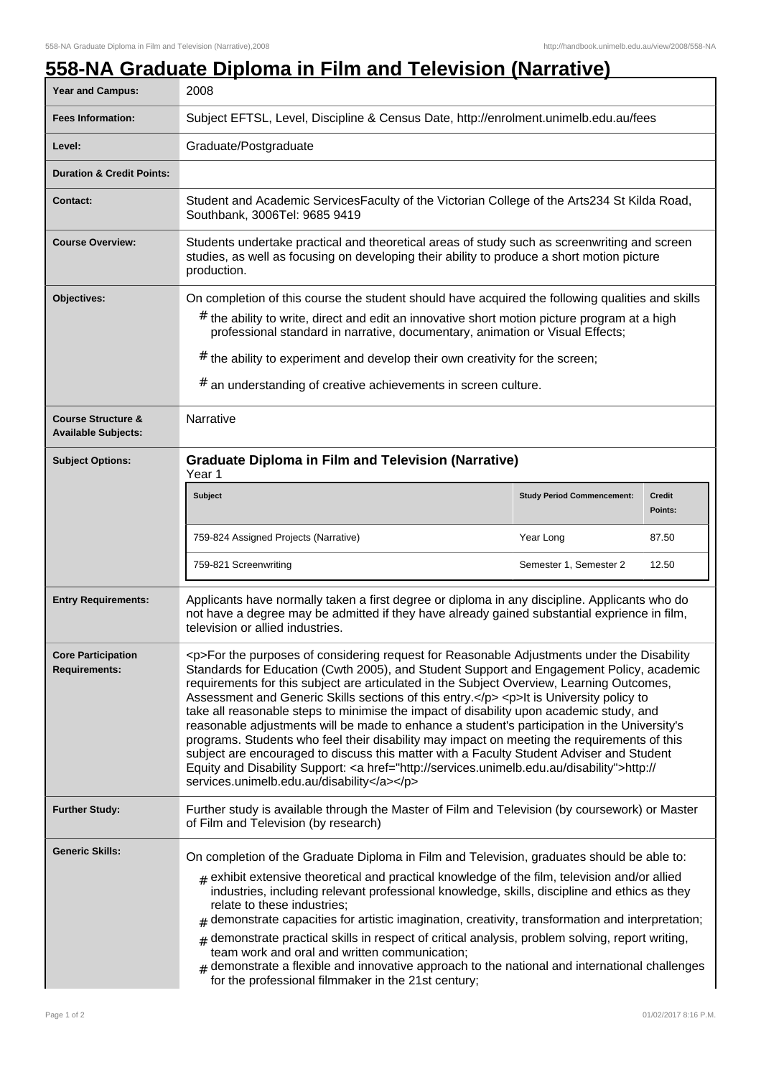## **558-NA Graduate Diploma in Film and Television (Narrative)**

| Year and Campus:                                            | 2008                                                                                                                                                                                                                                                                                                                                                                                                                                                                                                                                                                                                                                                                                                                                                                                                                                                                                                                         |                                   |                          |
|-------------------------------------------------------------|------------------------------------------------------------------------------------------------------------------------------------------------------------------------------------------------------------------------------------------------------------------------------------------------------------------------------------------------------------------------------------------------------------------------------------------------------------------------------------------------------------------------------------------------------------------------------------------------------------------------------------------------------------------------------------------------------------------------------------------------------------------------------------------------------------------------------------------------------------------------------------------------------------------------------|-----------------------------------|--------------------------|
| <b>Fees Information:</b>                                    | Subject EFTSL, Level, Discipline & Census Date, http://enrolment.unimelb.edu.au/fees                                                                                                                                                                                                                                                                                                                                                                                                                                                                                                                                                                                                                                                                                                                                                                                                                                         |                                   |                          |
| Level:                                                      | Graduate/Postgraduate                                                                                                                                                                                                                                                                                                                                                                                                                                                                                                                                                                                                                                                                                                                                                                                                                                                                                                        |                                   |                          |
| <b>Duration &amp; Credit Points:</b>                        |                                                                                                                                                                                                                                                                                                                                                                                                                                                                                                                                                                                                                                                                                                                                                                                                                                                                                                                              |                                   |                          |
| <b>Contact:</b>                                             | Student and Academic ServicesFaculty of the Victorian College of the Arts234 St Kilda Road,<br>Southbank, 3006Tel: 9685 9419                                                                                                                                                                                                                                                                                                                                                                                                                                                                                                                                                                                                                                                                                                                                                                                                 |                                   |                          |
| <b>Course Overview:</b>                                     | Students undertake practical and theoretical areas of study such as screenwriting and screen<br>studies, as well as focusing on developing their ability to produce a short motion picture<br>production.                                                                                                                                                                                                                                                                                                                                                                                                                                                                                                                                                                                                                                                                                                                    |                                   |                          |
| Objectives:                                                 | On completion of this course the student should have acquired the following qualities and skills<br>$#$ the ability to write, direct and edit an innovative short motion picture program at a high<br>professional standard in narrative, documentary, animation or Visual Effects;<br>$#$ the ability to experiment and develop their own creativity for the screen;<br># an understanding of creative achievements in screen culture.                                                                                                                                                                                                                                                                                                                                                                                                                                                                                      |                                   |                          |
| <b>Course Structure &amp;</b><br><b>Available Subjects:</b> | Narrative                                                                                                                                                                                                                                                                                                                                                                                                                                                                                                                                                                                                                                                                                                                                                                                                                                                                                                                    |                                   |                          |
| <b>Subject Options:</b>                                     | <b>Graduate Diploma in Film and Television (Narrative)</b><br>Year 1                                                                                                                                                                                                                                                                                                                                                                                                                                                                                                                                                                                                                                                                                                                                                                                                                                                         |                                   |                          |
|                                                             | <b>Subject</b>                                                                                                                                                                                                                                                                                                                                                                                                                                                                                                                                                                                                                                                                                                                                                                                                                                                                                                               | <b>Study Period Commencement:</b> | <b>Credit</b><br>Points: |
|                                                             | 759-824 Assigned Projects (Narrative)                                                                                                                                                                                                                                                                                                                                                                                                                                                                                                                                                                                                                                                                                                                                                                                                                                                                                        | Year Long                         | 87.50                    |
|                                                             | 759-821 Screenwriting                                                                                                                                                                                                                                                                                                                                                                                                                                                                                                                                                                                                                                                                                                                                                                                                                                                                                                        | Semester 1, Semester 2            | 12.50                    |
| <b>Entry Requirements:</b>                                  | Applicants have normally taken a first degree or diploma in any discipline. Applicants who do<br>not have a degree may be admitted if they have already gained substantial exprience in film,<br>television or allied industries.                                                                                                                                                                                                                                                                                                                                                                                                                                                                                                                                                                                                                                                                                            |                                   |                          |
| <b>Core Participation</b><br><b>Requirements:</b>           | <p>For the purposes of considering request for Reasonable Adjustments under the Disability<br/>Standards for Education (Cwth 2005), and Student Support and Engagement Policy, academic<br/>requirements for this subject are articulated in the Subject Overview, Learning Outcomes,<br/>Assessment and Generic Skills sections of this entry.</p> <p>It is University policy to<br/>take all reasonable steps to minimise the impact of disability upon academic study, and<br/>reasonable adjustments will be made to enhance a student's participation in the University's<br/>programs. Students who feel their disability may impact on meeting the requirements of this<br/>subject are encouraged to discuss this matter with a Faculty Student Adviser and Student<br/>Equity and Disability Support: &lt; a href="http://services.unimelb.edu.au/disability"&gt;http://<br/>services.unimelb.edu.au/disability</p> |                                   |                          |
| <b>Further Study:</b>                                       | Further study is available through the Master of Film and Television (by coursework) or Master<br>of Film and Television (by research)                                                                                                                                                                                                                                                                                                                                                                                                                                                                                                                                                                                                                                                                                                                                                                                       |                                   |                          |
| <b>Generic Skills:</b>                                      | On completion of the Graduate Diploma in Film and Television, graduates should be able to:<br>$_{\text{\#}}$ exhibit extensive theoretical and practical knowledge of the film, television and/or allied<br>industries, including relevant professional knowledge, skills, discipline and ethics as they<br>relate to these industries;<br>demonstrate capacities for artistic imagination, creativity, transformation and interpretation;<br>#<br>demonstrate practical skills in respect of critical analysis, problem solving, report writing,<br>#<br>team work and oral and written communication;<br>$#$ demonstrate a flexible and innovative approach to the national and international challenges<br>for the professional filmmaker in the 21st century;                                                                                                                                                            |                                   |                          |